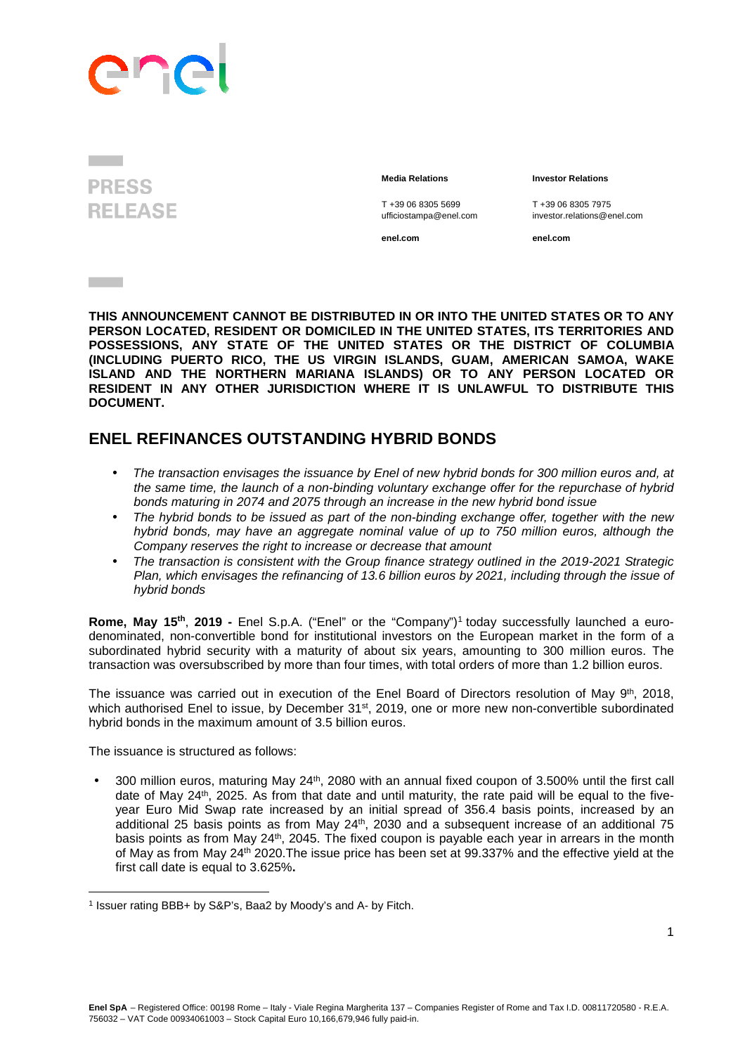## **PIC**

## **PRESS RELEASE**

**Contract** 

 **Media Relations Investor Relations** 

T +39 06 8305 5699 T +39 06 8305 7975

ufficiostampa@enel.com investor.relations@enel.com

**enel.com enel.com**

**THIS ANNOUNCEMENT CANNOT BE DISTRIBUTED IN OR INTO THE UNITED STATES OR TO ANY PERSON LOCATED, RESIDENT OR DOMICILED IN THE UNITED STATES, ITS TERRITORIES AND POSSESSIONS, ANY STATE OF THE UNITED STATES OR THE DISTRICT OF COLUMBIA (INCLUDING PUERTO RICO, THE US VIRGIN ISLANDS, GUAM, AMERICAN SAMOA, WAKE ISLAND AND THE NORTHERN MARIANA ISLANDS) OR TO ANY PERSON LOCATED OR RESIDENT IN ANY OTHER JURISDICTION WHERE IT IS UNLAWFUL TO DISTRIBUTE THIS DOCUMENT.** 

## **ENEL REFINANCES OUTSTANDING HYBRID BONDS**

- The transaction envisages the issuance by Enel of new hybrid bonds for 300 million euros and, at the same time, the launch of a non-binding voluntary exchange offer for the repurchase of hybrid bonds maturing in 2074 and 2075 through an increase in the new hybrid bond issue
- The hybrid bonds to be issued as part of the non-binding exchange offer, together with the new hybrid bonds, may have an aggregate nominal value of up to 750 million euros, although the Company reserves the right to increase or decrease that amount
- The transaction is consistent with the Group finance strategy outlined in the 2019-2021 Strategic Plan, which envisages the refinancing of 13.6 billion euros by 2021, including through the issue of hybrid bonds

Rome, May 15<sup>th</sup>, 2019 - Enel S.p.A. ("Enel" or the "Company")<sup>1</sup> today successfully launched a eurodenominated, non-convertible bond for institutional investors on the European market in the form of a subordinated hybrid security with a maturity of about six years, amounting to 300 million euros. The transaction was oversubscribed by more than four times, with total orders of more than 1.2 billion euros.

The issuance was carried out in execution of the Enel Board of Directors resolution of May 9<sup>th</sup>, 2018, which authorised Enel to issue, by December 31<sup>st</sup>, 2019, one or more new non-convertible subordinated hybrid bonds in the maximum amount of 3.5 billion euros.

The issuance is structured as follows:

l

• 300 million euros, maturing May 24<sup>th</sup>, 2080 with an annual fixed coupon of 3.500% until the first call date of May 24<sup>th</sup>, 2025. As from that date and until maturity, the rate paid will be equal to the fiveyear Euro Mid Swap rate increased by an initial spread of 356.4 basis points, increased by an additional 25 basis points as from May 24<sup>th</sup>, 2030 and a subsequent increase of an additional 75 basis points as from May 24<sup>th</sup>, 2045. The fixed coupon is payable each year in arrears in the month of May as from May 24th 2020.The issue price has been set at 99.337% and the effective yield at the first call date is equal to 3.625%**.**

<sup>&</sup>lt;sup>1</sup> Issuer rating BBB+ by S&P's, Baa2 by Moody's and A- by Fitch.